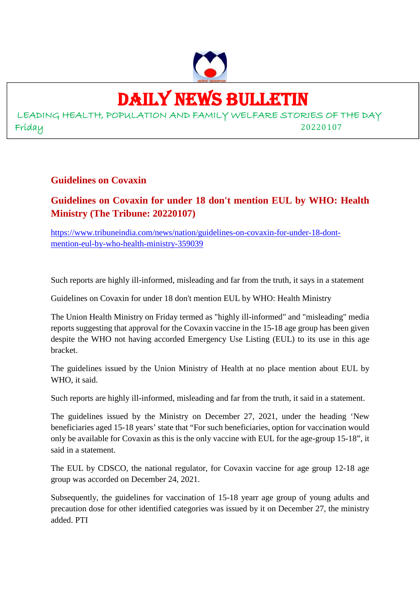

# DAILY NEWS BULLETIN

LEADING HEALTH, POPULATION AND FAMILY WELFARE STORIES OF THE DAY Friday 20220107

#### **Guidelines on Covaxin**

# **Guidelines on Covaxin for under 18 don't mention EUL by WHO: Health Ministry (The Tribune: 20220107)**

https://www.tribuneindia.com/news/nation/guidelines-on-covaxin-for-under-18-dontmention-eul-by-who-health-ministry-359039

Such reports are highly ill-informed, misleading and far from the truth, it says in a statement

Guidelines on Covaxin for under 18 don't mention EUL by WHO: Health Ministry

The Union Health Ministry on Friday termed as "highly ill-informed" and "misleading" media reports suggesting that approval for the Covaxin vaccine in the 15-18 age group has been given despite the WHO not having accorded Emergency Use Listing (EUL) to its use in this age bracket.

The guidelines issued by the Union Ministry of Health at no place mention about EUL by WHO, it said.

Such reports are highly ill-informed, misleading and far from the truth, it said in a statement.

The guidelines issued by the Ministry on December 27, 2021, under the heading 'New beneficiaries aged 15-18 years' state that "For such beneficiaries, option for vaccination would only be available for Covaxin as this is the only vaccine with EUL for the age-group 15-18", it said in a statement.

The EUL by CDSCO, the national regulator, for Covaxin vaccine for age group 12-18 age group was accorded on December 24, 2021.

Subsequently, the guidelines for vaccination of 15-18 yearr age group of young adults and precaution dose for other identified categories was issued by it on December 27, the ministry added. PTI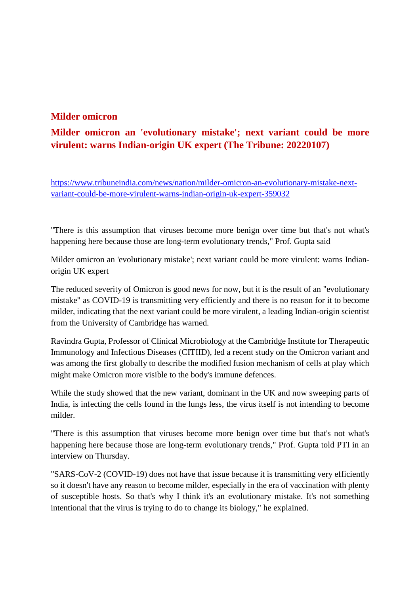#### **Milder omicron**

# **Milder omicron an 'evolutionary mistake'; next variant could be more virulent: warns Indian-origin UK expert (The Tribune: 20220107)**

https://www.tribuneindia.com/news/nation/milder-omicron-an-evolutionary-mistake-nextvariant-could-be-more-virulent-warns-indian-origin-uk-expert-359032

"There is this assumption that viruses become more benign over time but that's not what's happening here because those are long-term evolutionary trends," Prof. Gupta said

Milder omicron an 'evolutionary mistake'; next variant could be more virulent: warns Indianorigin UK expert

The reduced severity of Omicron is good news for now, but it is the result of an "evolutionary mistake" as COVID-19 is transmitting very efficiently and there is no reason for it to become milder, indicating that the next variant could be more virulent, a leading Indian-origin scientist from the University of Cambridge has warned.

Ravindra Gupta, Professor of Clinical Microbiology at the Cambridge Institute for Therapeutic Immunology and Infectious Diseases (CITIID), led a recent study on the Omicron variant and was among the first globally to describe the modified fusion mechanism of cells at play which might make Omicron more visible to the body's immune defences.

While the study showed that the new variant, dominant in the UK and now sweeping parts of India, is infecting the cells found in the lungs less, the virus itself is not intending to become milder.

"There is this assumption that viruses become more benign over time but that's not what's happening here because those are long-term evolutionary trends," Prof. Gupta told PTI in an interview on Thursday.

"SARS-CoV-2 (COVID-19) does not have that issue because it is transmitting very efficiently so it doesn't have any reason to become milder, especially in the era of vaccination with plenty of susceptible hosts. So that's why I think it's an evolutionary mistake. It's not something intentional that the virus is trying to do to change its biology," he explained.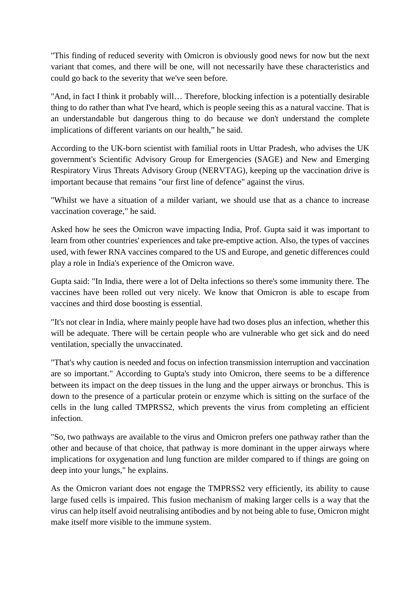"This finding of reduced severity with Omicron is obviously good news for now but the next variant that comes, and there will be one, will not necessarily have these characteristics and could go back to the severity that we've seen before.

"And, in fact I think it probably will… Therefore, blocking infection is a potentially desirable thing to do rather than what I've heard, which is people seeing this as a natural vaccine. That is an understandable but dangerous thing to do because we don't understand the complete implications of different variants on our health," he said.

According to the UK-born scientist with familial roots in Uttar Pradesh, who advises the UK government's Scientific Advisory Group for Emergencies (SAGE) and New and Emerging Respiratory Virus Threats Advisory Group (NERVTAG), keeping up the vaccination drive is important because that remains "our first line of defence" against the virus.

"Whilst we have a situation of a milder variant, we should use that as a chance to increase vaccination coverage," he said.

Asked how he sees the Omicron wave impacting India, Prof. Gupta said it was important to learn from other countries' experiences and take pre-emptive action. Also, the types of vaccines used, with fewer RNA vaccines compared to the US and Europe, and genetic differences could play a role in India's experience of the Omicron wave.

Gupta said: "In India, there were a lot of Delta infections so there's some immunity there. The vaccines have been rolled out very nicely. We know that Omicron is able to escape from vaccines and third dose boosting is essential.

"It's not clear in India, where mainly people have had two doses plus an infection, whether this will be adequate. There will be certain people who are vulnerable who get sick and do need ventilation, specially the unvaccinated.

"That's why caution is needed and focus on infection transmission interruption and vaccination are so important." According to Gupta's study into Omicron, there seems to be a difference between its impact on the deep tissues in the lung and the upper airways or bronchus. This is down to the presence of a particular protein or enzyme which is sitting on the surface of the cells in the lung called TMPRSS2, which prevents the virus from completing an efficient infection.

"So, two pathways are available to the virus and Omicron prefers one pathway rather than the other and because of that choice, that pathway is more dominant in the upper airways where implications for oxygenation and lung function are milder compared to if things are going on deep into your lungs," he explains.

As the Omicron variant does not engage the TMPRSS2 very efficiently, its ability to cause large fused cells is impaired. This fusion mechanism of making larger cells is a way that the virus can help itself avoid neutralising antibodies and by not being able to fuse, Omicron might make itself more visible to the immune system.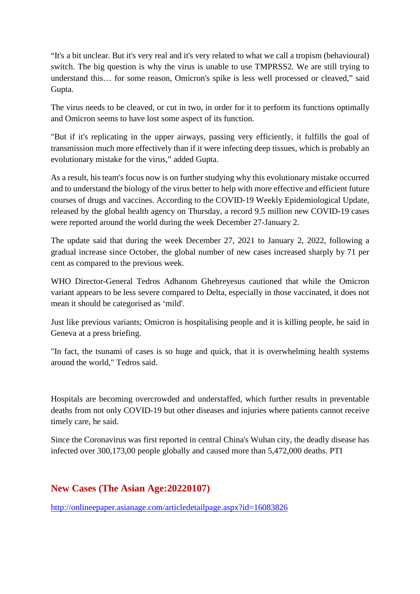"It's a bit unclear. But it's very real and it's very related to what we call a tropism (behavioural) switch. The big question is why the virus is unable to use TMPRSS2. We are still trying to understand this… for some reason, Omicron's spike is less well processed or cleaved," said Gupta.

The virus needs to be cleaved, or cut in two, in order for it to perform its functions optimally and Omicron seems to have lost some aspect of its function.

"But if it's replicating in the upper airways, passing very efficiently, it fulfills the goal of transmission much more effectively than if it were infecting deep tissues, which is probably an evolutionary mistake for the virus," added Gupta.

As a result, his team's focus now is on further studying why this evolutionary mistake occurred and to understand the biology of the virus better to help with more effective and efficient future courses of drugs and vaccines. According to the COVID-19 Weekly Epidemiological Update, released by the global health agency on Thursday, a record 9.5 million new COVID-19 cases were reported around the world during the week December 27-January 2.

The update said that during the week December 27, 2021 to January 2, 2022, following a gradual increase since October, the global number of new cases increased sharply by 71 per cent as compared to the previous week.

WHO Director-General Tedros Adhanom Ghebreyesus cautioned that while the Omicron variant appears to be less severe compared to Delta, especially in those vaccinated, it does not mean it should be categorised as 'mild'.

Just like previous variants; Omicron is hospitalising people and it is killing people, he said in Geneva at a press briefing.

"In fact, the tsunami of cases is so huge and quick, that it is overwhelming health systems around the world," Tedros said.

Hospitals are becoming overcrowded and understaffed, which further results in preventable deaths from not only COVID-19 but other diseases and injuries where patients cannot receive timely care, he said.

Since the Coronavirus was first reported in central China's Wuhan city, the deadly disease has infected over 300,173,00 people globally and caused more than 5,472,000 deaths. PTI

## **New Cases (The Asian Age:20220107)**

http://onlineepaper.asianage.com/articledetailpage.aspx?id=16083826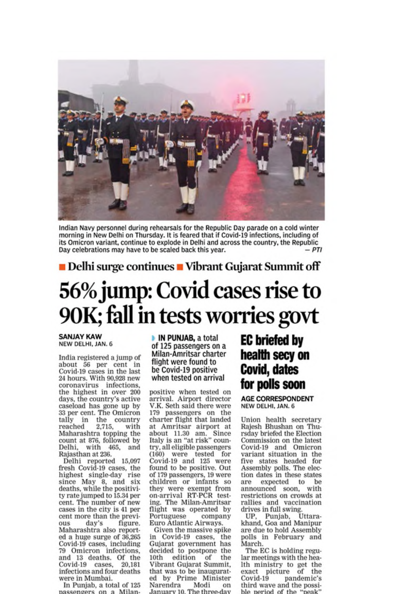

Indian Navy personnel during rehearsals for the Republic Day parade on a cold winter morning in New Delhi on Thursday. It is feared that if Covid-19 infections, including of its Omicron variant, continue to explode in Delhi and across the country, the Republic Day celebrations may have to be scaled back this year.

Delhi surge continues Vibrant Gujarat Summit off

# 56% jump: Covid cases rise to 90K; fall in tests worries govt

#### **SANJAY KAW** NEW DELHI, JAN. 6

India registered a jump of about 56 per cent in Covid-19 cases in the last 24 hours. With 90,928 new coronavirus infections,<br>the highest in over 200 days, the country's active caseload has gone up by 33 per cent. The Omicron tally in the country<br>reached 2,715, with with Maharashtra topping the count at 876, followed by Delhi, with 465, and Rajasthan at 236.

Delhi reported 15,097 fresh Covid-19 cases, the highest single-day rise<br>since May 8, and six deaths, while the positivity rate jumped to 15.34 per cent. The number of new cases in the city is 41 per cent more than the previday's figure. ous Maharashtra also reported a huge surge of 36,265 Covid-19 cases, including<br>79 Omicron infections,<br>and 13 deaths. Of the Covid-19 cases. 20.181 infections and four deaths were in Mumbai.

In Punjab, a total of 125 passengers on a Milan-

IN PUNJAB, a total of 125 passengers on a Milan-Amritsar charter flight were found to be Covid-19 positive when tested on arrival

positive when tested on<br>arrival. Airport director V.K. Seth said there were 179 passengers on the charter flight that landed at Amritsar airport at about 11.30 am. Since<br>Italy is an "at risk" country, all eligible passengers (160) were tested for Covid-19 and 125 were found to be positive. Out of 179 passengers, 19 were children or infants so they were exempt from<br>on-arrival RT-PCR testing. The Milan-Amritsar flight was operated by Portuguese company Euro Atlantic Airways.

Given the massive spike in Covid-19 cases, the Gujarat government has<br>decided to postpone the 10th edition of the Vibrant Gujarat Summit, that was to be inaugurated by Prime Minister Modi Narendra on January 10, The three-day

# **EC** briefed by health secy on **Covid, dates** for polls soon

**AGE CORRESPONDENT** NEW DELHI, JAN. 6

Union health secretary Rajesh Bhushan on Thursday briefed the Election Commission on the latest Covid-19 and Omicron<br>variant situation in the five states headed for Assembly polls. The election dates in these states expected to be are announced soon, with restrictions on crowds at rallies and vaccination<br>drives in full swing.

UP, Punjab, Uttarakhand, Goa and Manipur are due to hold Assembly polls in February and March.

The EC is holding regular meetings with the hea-Ith ministry to get the exact picture of the Covid-19 pandemic's third wave and the possible period of the "peak"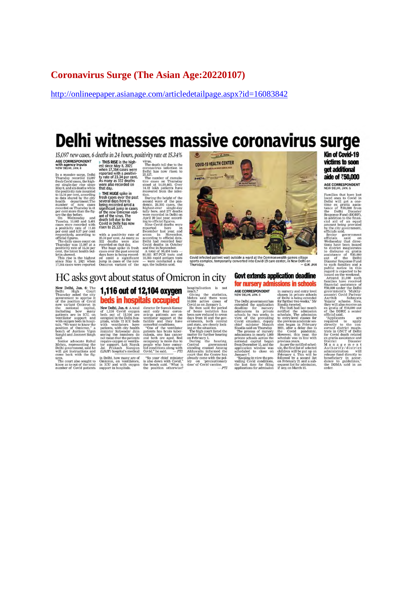#### **Coronavirus Surge (The Asian Age: 20220107)**

http://onlineepaper.asianage.com/articledetailpage.aspx?id=16083842

# Delhi witnesses massive coronavirus surge

15.097 new cases, 6 deaths in 24 hours, positivity rate at 15.34% AGE CORRESPONDENT<br>with agency inputs<br>NEW DELHI, JAN, 6

ectation *FIFRE* is the high-<br>est since May 8, 2021<br>when 17,354 cases were<br>reported with a positivi-<br>ty rate of 23.34 per cent.<br>As many as 332 deaths<br>were also recorded on<br>that day.

WEW agency inputs<br>section the particle May 8, 2021<br>when  $13,364$  cases were<br>the massive surreguoint proof of which a positive<br>Thursday recorded 15,067 ty rate of 23.34 per cent.<br>The result covid cases the high- As many as

Wirver The death toll due to the<br>coronavirus infection in<br>coronavirus infection in<br>Delhi has now risen to<br>Delhi has now risen to<br>the number of cumulation<br>at 14.32 lakh patients have<br>toored from the infection<br>too.



Covid infected patient wait outside a ward at the Commonwealth games village<br>sports complex, temporarily converted into Covid-19 care center, in New Delhi on<br>Thursday,

# HC asks govt about status of Omicron in city

New Delhi, Jan. 6: The **1,116 OUT of 12,104 OXYGEN**<br>
Delhi, Jan. 6: The **1,116 OUT of 12,104 OXYGEN**<br>
Thursday asked the city<br>
Thursday asked the city<br>
of the position of Covid **bects in hospitals occupied**<br>
of the posi

stational and solution in the particle between the particle and the media said.<br>
Said, and said the media of the particle oxygen or ventila occupancy is more due to Mehra, representing the tor support. Lok Nayak people wh

**EVERTIFY THE TERM CONTROL CONTROL** TO THE THE CONDUCT ON THE GALACTION (THE AGAIN ON THE GALACTION CONDUCTS THAT THE AGAINST STATE THIS WITHIN WELL THAT THE WAY THE WAY THE WAY THE MANUSCRY THAT THE MANUSCRY THAT THE MAN

**Govt extends application deadline** 

**FOR TRUITSETY 21 CONTESTANTS IN SCRIBED AGE CORRESPONDENT**<br>
AGE CORRESPONDENT in nursery and entry level of Delhi government has for further two weeks," Mr detailed the application Stock in private notified the dentission

Kin of Covid-19 victims to soon get additional aide of ₹50,000

AGE CORRESPONDENT

Families that have lost to Covid in the<br>noise of the control ones to Covid in the time external assistance of 750,000 from<br>the behin will get a one-<br>trance of 750,000 from the Delhin Miliam (DDRF), in addition to the fina

for nursery admissions in schools

# **CHATIFY SET AND ACTES AND MONETAINMONE TOWARD THEORY AND MONET AND SURFACT 10,900 and there were toold as on January 3.** The then said the period for the main of the main data are described in the state and the state are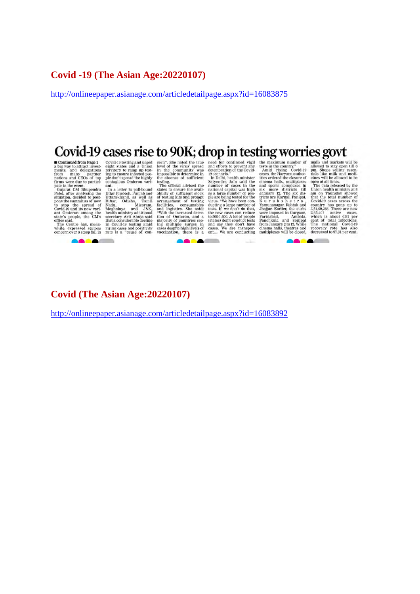#### **Covid -19 (The Asian Age:20220107)**

http://onlineepaper.asianage.com/articledetailpage.aspx?id=16083875

# Covid-19 cases rise to 90K; drop in testing worries govt

**Contract Contract** 

 $\sim$ 

**Contract Contract Contract** 

**CONCORRECT CONSUMPLE CONSUMPLE CONTROLLY CONTROLLY AND Solution** and the sixture in the sixture in the sixture in the main main main main and delegations territory to ramp up test-<br>throm many partner ing to ensure infecte

**AA1** 

 $-1-$ 

CONTRETT SERVICE TRIST WORK THEST WORK IN THIS SURVEY THE REVIRE IS the nearest of every with lowels in the community was detertoration of the Covid-<br>
in the community was detertoration of the Covid-<br>
And Tising Covid-19 p

**BACALL** 

#### **Covid (The Asian Age:20220107)**

http://onlineepaper.asianage.com/articledetailpage.aspx?id=16083892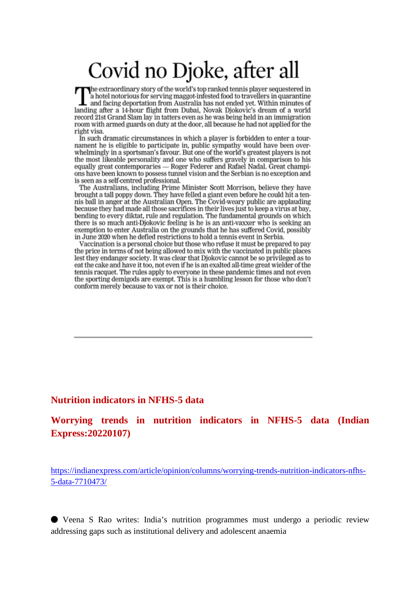# Covid no Djoke, after all

The extraordinary story of the world's top ranked tennis player sequestered in a hotel notorious for serving maggot-infested food to travellers in quarantine and facing deportation from Australia has not ended yet. Within minutes of landing after a 14-hour flight from Dubai, Novak Djokovic's dream of a world record 21st Grand Slam lay in tatters even as he was being held in an immigration room with armed guards on duty at the door, all because he had not applied for the right visa.

In such dramatic circumstances in which a player is forbidden to enter a tournament he is eligible to participate in, public sympathy would have been overwhelmingly in a sportsman's favour. But one of the world's greatest players is not the most likeable personality and one who suffers gravely in comparison to his equally great contemporaries - Roger Federer and Rafael Nadal. Great champions have been known to possess tunnel vision and the Serbian is no exception and is seen as a self-centred professional.

The Australians, including Prime Minister Scott Morrison, believe they have brought a tall poppy down. They have felled a giant even before he could hit a tennis ball in anger at the Australian Open. The Covid-weary public are applauding because they had made all those sacrifices in their lives just to keep a virus at bay, bending to every diktat, rule and regulation. The fundamental grounds on which there is so much anti-Djokovic feeling is he is an anti-vaxxer who is seeking an exemption to enter Australia on the grounds that he has suffered Covid, possibly in June 2020 when he defied restrictions to hold a tennis event in Serbia.

Vaccination is a personal choice but those who refuse it must be prepared to pay the price in terms of not being allowed to mix with the vaccinated in public places lest they endanger society. It was clear that Djokovic cannot be so privileged as to eat the cake and have it too, not even if he is an exalted all-time great wielder of the tennis racquet. The rules apply to everyone in these pandemic times and not even the sporting demigods are exempt. This is a humbling lesson for those who don't conform merely because to vax or not is their choice.

#### **Nutrition indicators in NFHS-5 data**

#### **Worrying trends in nutrition indicators in NFHS-5 data (Indian Express:20220107)**

https://indianexpress.com/article/opinion/columns/worrying-trends-nutrition-indicators-nfhs-5-data-7710473/

⬤ Veena S Rao writes: India's nutrition programmes must undergo a periodic review addressing gaps such as institutional delivery and adolescent anaemia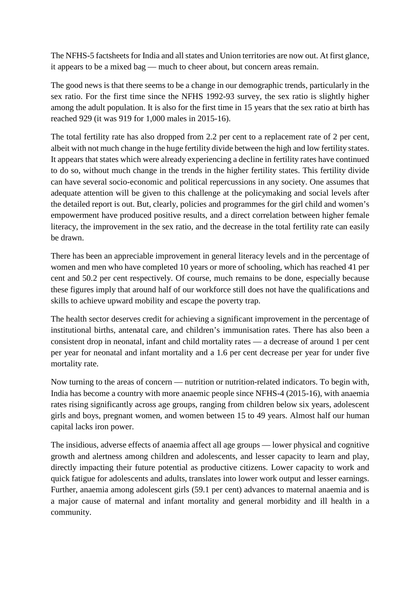The NFHS-5 factsheets for India and all states and Union territories are now out. At first glance, it appears to be a mixed bag — much to cheer about, but concern areas remain.

The good news is that there seems to be a change in our demographic trends, particularly in the sex ratio. For the first time since the NFHS 1992-93 survey, the sex ratio is slightly higher among the adult population. It is also for the first time in 15 years that the sex ratio at birth has reached 929 (it was 919 for 1,000 males in 2015-16).

The total fertility rate has also dropped from 2.2 per cent to a replacement rate of 2 per cent, albeit with not much change in the huge fertility divide between the high and low fertility states. It appears that states which were already experiencing a decline in fertility rates have continued to do so, without much change in the trends in the higher fertility states. This fertility divide can have several socio-economic and political repercussions in any society. One assumes that adequate attention will be given to this challenge at the policymaking and social levels after the detailed report is out. But, clearly, policies and programmes for the girl child and women's empowerment have produced positive results, and a direct correlation between higher female literacy, the improvement in the sex ratio, and the decrease in the total fertility rate can easily be drawn.

There has been an appreciable improvement in general literacy levels and in the percentage of women and men who have completed 10 years or more of schooling, which has reached 41 per cent and 50.2 per cent respectively. Of course, much remains to be done, especially because these figures imply that around half of our workforce still does not have the qualifications and skills to achieve upward mobility and escape the poverty trap.

The health sector deserves credit for achieving a significant improvement in the percentage of institutional births, antenatal care, and children's immunisation rates. There has also been a consistent drop in neonatal, infant and child mortality rates — a decrease of around 1 per cent per year for neonatal and infant mortality and a 1.6 per cent decrease per year for under five mortality rate.

Now turning to the areas of concern — nutrition or nutrition-related indicators. To begin with, India has become a country with more anaemic people since NFHS-4 (2015-16), with anaemia rates rising significantly across age groups, ranging from children below six years, adolescent girls and boys, pregnant women, and women between 15 to 49 years. Almost half our human capital lacks iron power.

The insidious, adverse effects of anaemia affect all age groups — lower physical and cognitive growth and alertness among children and adolescents, and lesser capacity to learn and play, directly impacting their future potential as productive citizens. Lower capacity to work and quick fatigue for adolescents and adults, translates into lower work output and lesser earnings. Further, anaemia among adolescent girls (59.1 per cent) advances to maternal anaemia and is a major cause of maternal and infant mortality and general morbidity and ill health in a community.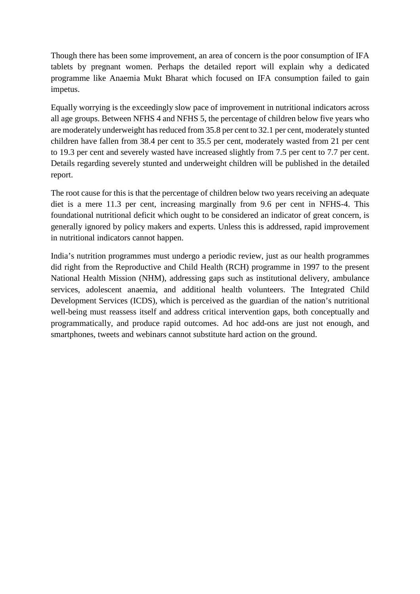Though there has been some improvement, an area of concern is the poor consumption of IFA tablets by pregnant women. Perhaps the detailed report will explain why a dedicated programme like Anaemia Mukt Bharat which focused on IFA consumption failed to gain impetus.

Equally worrying is the exceedingly slow pace of improvement in nutritional indicators across all age groups. Between NFHS 4 and NFHS 5, the percentage of children below five years who are moderately underweight has reduced from 35.8 per cent to 32.1 per cent, moderately stunted children have fallen from 38.4 per cent to 35.5 per cent, moderately wasted from 21 per cent to 19.3 per cent and severely wasted have increased slightly from 7.5 per cent to 7.7 per cent. Details regarding severely stunted and underweight children will be published in the detailed report.

The root cause for this is that the percentage of children below two years receiving an adequate diet is a mere 11.3 per cent, increasing marginally from 9.6 per cent in NFHS-4. This foundational nutritional deficit which ought to be considered an indicator of great concern, is generally ignored by policy makers and experts. Unless this is addressed, rapid improvement in nutritional indicators cannot happen.

India's nutrition programmes must undergo a periodic review, just as our health programmes did right from the Reproductive and Child Health (RCH) programme in 1997 to the present National Health Mission (NHM), addressing gaps such as institutional delivery, ambulance services, adolescent anaemia, and additional health volunteers. The Integrated Child Development Services (ICDS), which is perceived as the guardian of the nation's nutritional well-being must reassess itself and address critical intervention gaps, both conceptually and programmatically, and produce rapid outcomes. Ad hoc add-ons are just not enough, and smartphones, tweets and webinars cannot substitute hard action on the ground.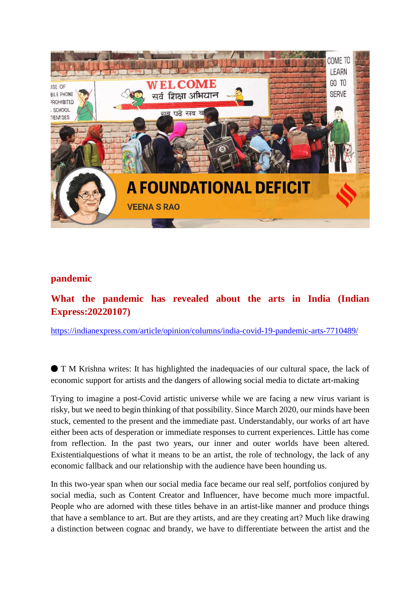

#### **pandemic**

**What the pandemic has revealed about the arts in India (Indian Express:20220107)**

https://indianexpress.com/article/opinion/columns/india-covid-19-pandemic-arts-7710489/

⬤ T M Krishna writes: It has highlighted the inadequacies of our cultural space, the lack of economic support for artists and the dangers of allowing social media to dictate art-making

Trying to imagine a post-Covid artistic universe while we are facing a new virus variant is risky, but we need to begin thinking of that possibility. Since March 2020, our minds have been stuck, cemented to the present and the immediate past. Understandably, our works of art have either been acts of desperation or immediate responses to current experiences. Little has come from reflection. In the past two years, our inner and outer worlds have been altered. Existentialquestions of what it means to be an artist, the role of technology, the lack of any economic fallback and our relationship with the audience have been hounding us.

In this two-year span when our social media face became our real self, portfolios conjured by social media, such as Content Creator and Influencer, have become much more impactful. People who are adorned with these titles behave in an artist-like manner and produce things that have a semblance to art. But are they artists, and are they creating art? Much like drawing a distinction between cognac and brandy, we have to differentiate between the artist and the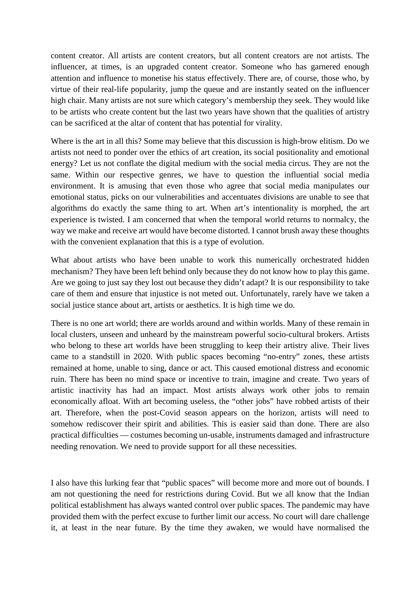content creator. All artists are content creators, but all content creators are not artists. The influencer, at times, is an upgraded content creator. Someone who has garnered enough attention and influence to monetise his status effectively. There are, of course, those who, by virtue of their real-life popularity, jump the queue and are instantly seated on the influencer high chair. Many artists are not sure which category's membership they seek. They would like to be artists who create content but the last two years have shown that the qualities of artistry can be sacrificed at the altar of content that has potential for virality.

Where is the art in all this? Some may believe that this discussion is high-brow elitism. Do we artists not need to ponder over the ethics of art creation, its social positionality and emotional energy? Let us not conflate the digital medium with the social media circus. They are not the same. Within our respective genres, we have to question the influential social media environment. It is amusing that even those who agree that social media manipulates our emotional status, picks on our vulnerabilities and accentuates divisions are unable to see that algorithms do exactly the same thing to art. When art's intentionality is morphed, the art experience is twisted. I am concerned that when the temporal world returns to normalcy, the way we make and receive art would have become distorted. I cannot brush away these thoughts with the convenient explanation that this is a type of evolution.

What about artists who have been unable to work this numerically orchestrated hidden mechanism? They have been left behind only because they do not know how to play this game. Are we going to just say they lost out because they didn't adapt? It is our responsibility to take care of them and ensure that injustice is not meted out. Unfortunately, rarely have we taken a social justice stance about art, artists or aesthetics. It is high time we do.

There is no one art world; there are worlds around and within worlds. Many of these remain in local clusters, unseen and unheard by the mainstream powerful socio-cultural brokers. Artists who belong to these art worlds have been struggling to keep their artistry alive. Their lives came to a standstill in 2020. With public spaces becoming "no-entry" zones, these artists remained at home, unable to sing, dance or act. This caused emotional distress and economic ruin. There has been no mind space or incentive to train, imagine and create. Two years of artistic inactivity has had an impact. Most artists always work other jobs to remain economically afloat. With art becoming useless, the "other jobs" have robbed artists of their art. Therefore, when the post-Covid season appears on the horizon, artists will need to somehow rediscover their spirit and abilities. This is easier said than done. There are also practical difficulties — costumes becoming un-usable, instruments damaged and infrastructure needing renovation. We need to provide support for all these necessities.

I also have this lurking fear that "public spaces" will become more and more out of bounds. I am not questioning the need for restrictions during Covid. But we all know that the Indian political establishment has always wanted control over public spaces. The pandemic may have provided them with the perfect excuse to further limit our access. No court will dare challenge it, at least in the near future. By the time they awaken, we would have normalised the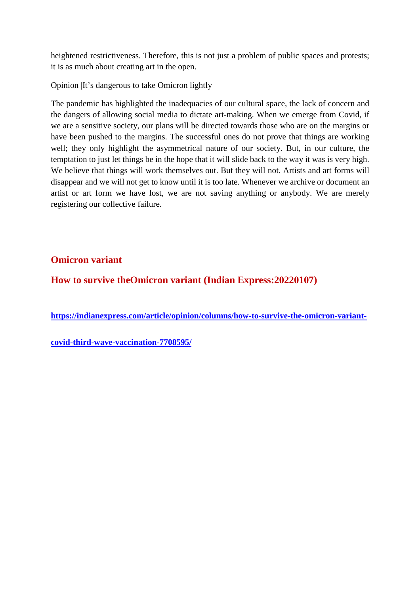heightened restrictiveness. Therefore, this is not just a problem of public spaces and protests; it is as much about creating art in the open.

Opinion |It's dangerous to take Omicron lightly

The pandemic has highlighted the inadequacies of our cultural space, the lack of concern and the dangers of allowing social media to dictate art-making. When we emerge from Covid, if we are a sensitive society, our plans will be directed towards those who are on the margins or have been pushed to the margins. The successful ones do not prove that things are working well; they only highlight the asymmetrical nature of our society. But, in our culture, the temptation to just let things be in the hope that it will slide back to the way it was is very high. We believe that things will work themselves out. But they will not. Artists and art forms will disappear and we will not get to know until it is too late. Whenever we archive or document an artist or art form we have lost, we are not saving anything or anybody. We are merely registering our collective failure.

## **Omicron variant**

**How to survive theOmicron variant (Indian Express:20220107)**

**https://indianexpress.com/article/opinion/columns/how-to-survive-the-omicron-variant-**

**covid-third-wave-vaccination-7708595/**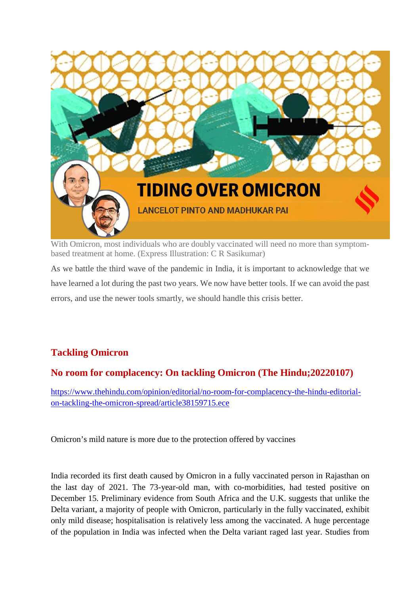

With Omicron, most individuals who are doubly vaccinated will need no more than symptombased treatment at home. (Express Illustration: C R Sasikumar)

As we battle the third wave of the pandemic in India, it is important to acknowledge that we have learned a lot during the past two years. We now have better tools. If we can avoid the past errors, and use the newer tools smartly, we should handle this crisis better.

# **Tackling Omicron**

## **No room for complacency: On tackling Omicron (The Hindu;20220107)**

https://www.thehindu.com/opinion/editorial/no-room-for-complacency-the-hindu-editorialon-tackling-the-omicron-spread/article38159715.ece

Omicron's mild nature is more due to the protection offered by vaccines

India recorded its first death caused by Omicron in a fully vaccinated person in Rajasthan on the last day of 2021. The 73-year-old man, with co-morbidities, had tested positive on December 15. Preliminary evidence from South Africa and the U.K. suggests that unlike the Delta variant, a majority of people with Omicron, particularly in the fully vaccinated, exhibit only mild disease; hospitalisation is relatively less among the vaccinated. A huge percentage of the population in India was infected when the Delta variant raged last year. Studies from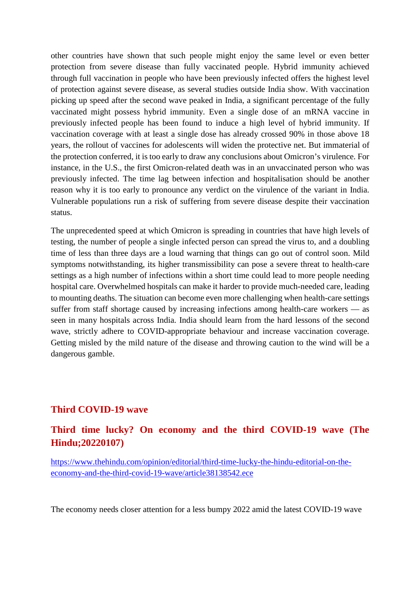other countries have shown that such people might enjoy the same level or even better protection from severe disease than fully vaccinated people. Hybrid immunity achieved through full vaccination in people who have been previously infected offers the highest level of protection against severe disease, as several studies outside India show. With vaccination picking up speed after the second wave peaked in India, a significant percentage of the fully vaccinated might possess hybrid immunity. Even a single dose of an mRNA vaccine in previously infected people has been found to induce a high level of hybrid immunity. If vaccination coverage with at least a single dose has already crossed 90% in those above 18 years, the rollout of vaccines for adolescents will widen the protective net. But immaterial of the protection conferred, it is too early to draw any conclusions about Omicron's virulence. For instance, in the U.S., the first Omicron-related death was in an unvaccinated person who was previously infected. The time lag between infection and hospitalisation should be another reason why it is too early to pronounce any verdict on the virulence of the variant in India. Vulnerable populations run a risk of suffering from severe disease despite their vaccination status.

The unprecedented speed at which Omicron is spreading in countries that have high levels of testing, the number of people a single infected person can spread the virus to, and a doubling time of less than three days are a loud warning that things can go out of control soon. Mild symptoms notwithstanding, its higher transmissibility can pose a severe threat to health-care settings as a high number of infections within a short time could lead to more people needing hospital care. Overwhelmed hospitals can make it harder to provide much-needed care, leading to mounting deaths. The situation can become even more challenging when health-care settings suffer from staff shortage caused by increasing infections among health-care workers — as seen in many hospitals across India. India should learn from the hard lessons of the second wave, strictly adhere to COVID-appropriate behaviour and increase vaccination coverage. Getting misled by the mild nature of the disease and throwing caution to the wind will be a dangerous gamble.

#### **Third COVID-19 wave**

## **Third time lucky? On economy and the third COVID-19 wave (The Hindu;20220107)**

https://www.thehindu.com/opinion/editorial/third-time-lucky-the-hindu-editorial-on-theeconomy-and-the-third-covid-19-wave/article38138542.ece

The economy needs closer attention for a less bumpy 2022 amid the latest COVID-19 wave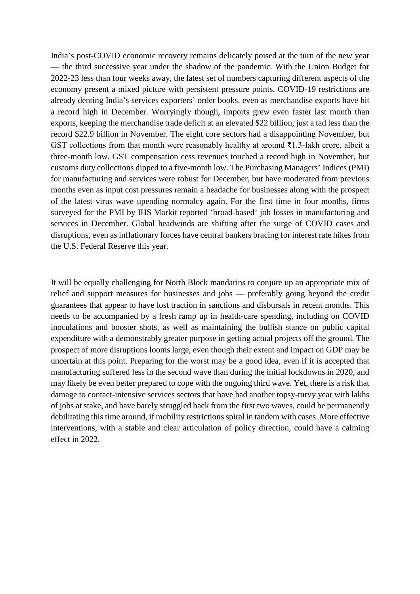India's post-COVID economic recovery remains delicately poised at the turn of the new year — the third successive year under the shadow of the pandemic. With the Union Budget for 2022-23 less than four weeks away, the latest set of numbers capturing different aspects of the economy present a mixed picture with persistent pressure points. COVID-19 restrictions are already denting India's services exporters' order books, even as merchandise exports have hit a record high in December. Worryingly though, imports grew even faster last month than exports, keeping the merchandise trade deficit at an elevated \$22 billion, just a tad less than the record \$22.9 billion in November. The eight core sectors had a disappointing November, but GST collections from that month were reasonably healthy at around ₹1.3-lakh crore, albeit a three-month low. GST compensation cess revenues touched a record high in November, but customs duty collections dipped to a five-month low. The Purchasing Managers' Indices (PMI) for manufacturing and services were robust for December, but have moderated from previous months even as input cost pressures remain a headache for businesses along with the prospect of the latest virus wave upending normalcy again. For the first time in four months, firms surveyed for the PMI by IHS Markit reported 'broad-based' job losses in manufacturing and services in December. Global headwinds are shifting after the surge of COVID cases and disruptions, even as inflationary forces have central bankers bracing for interest rate hikes from the U.S. Federal Reserve this year.

It will be equally challenging for North Block mandarins to conjure up an appropriate mix of relief and support measures for businesses and jobs — preferably going beyond the credit guarantees that appear to have lost traction in sanctions and disbursals in recent months. This needs to be accompanied by a fresh ramp up in health-care spending, including on COVID inoculations and booster shots, as well as maintaining the bullish stance on public capital expenditure with a demonstrably greater purpose in getting actual projects off the ground. The prospect of more disruptions looms large, even though their extent and impact on GDP may be uncertain at this point. Preparing for the worst may be a good idea, even if it is accepted that manufacturing suffered less in the second wave than during the initial lockdowns in 2020, and may likely be even better prepared to cope with the ongoing third wave. Yet, there is a risk that damage to contact-intensive services sectors that have had another topsy-turvy year with lakhs of jobs at stake, and have barely struggled back from the first two waves, could be permanently debilitating this time around, if mobility restrictions spiral in tandem with cases. More effective interventions, with a stable and clear articulation of policy direction, could have a calming effect in 2022.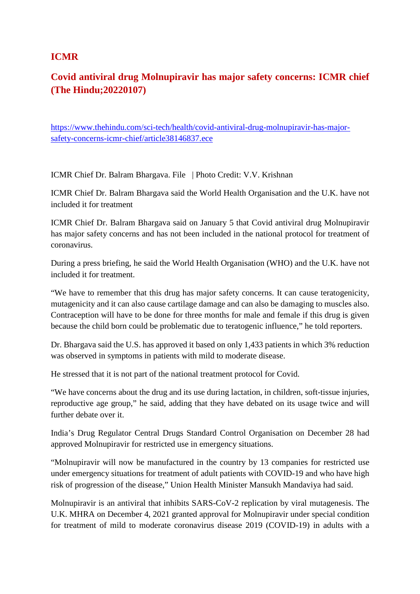#### **ICMR**

# **Covid antiviral drug Molnupiravir has major safety concerns: ICMR chief (The Hindu;20220107)**

https://www.thehindu.com/sci-tech/health/covid-antiviral-drug-molnupiravir-has-majorsafety-concerns-icmr-chief/article38146837.ece

ICMR Chief Dr. Balram Bhargava. File | Photo Credit: V.V. Krishnan

ICMR Chief Dr. Balram Bhargava said the World Health Organisation and the U.K. have not included it for treatment

ICMR Chief Dr. Balram Bhargava said on January 5 that Covid antiviral drug Molnupiravir has major safety concerns and has not been included in the national protocol for treatment of coronavirus.

During a press briefing, he said the World Health Organisation (WHO) and the U.K. have not included it for treatment.

"We have to remember that this drug has major safety concerns. It can cause teratogenicity, mutagenicity and it can also cause cartilage damage and can also be damaging to muscles also. Contraception will have to be done for three months for male and female if this drug is given because the child born could be problematic due to teratogenic influence," he told reporters.

Dr. Bhargava said the U.S. has approved it based on only 1,433 patients in which 3% reduction was observed in symptoms in patients with mild to moderate disease.

He stressed that it is not part of the national treatment protocol for Covid.

"We have concerns about the drug and its use during lactation, in children, soft-tissue injuries, reproductive age group," he said, adding that they have debated on its usage twice and will further debate over it.

India's Drug Regulator Central Drugs Standard Control Organisation on December 28 had approved Molnupiravir for restricted use in emergency situations.

"Molnupiravir will now be manufactured in the country by 13 companies for restricted use under emergency situations for treatment of adult patients with COVID-19 and who have high risk of progression of the disease," Union Health Minister Mansukh Mandaviya had said.

Molnupiravir is an antiviral that inhibits SARS-CoV-2 replication by viral mutagenesis. The U.K. MHRA on December 4, 2021 granted approval for Molnupiravir under special condition for treatment of mild to moderate coronavirus disease 2019 (COVID-19) in adults with a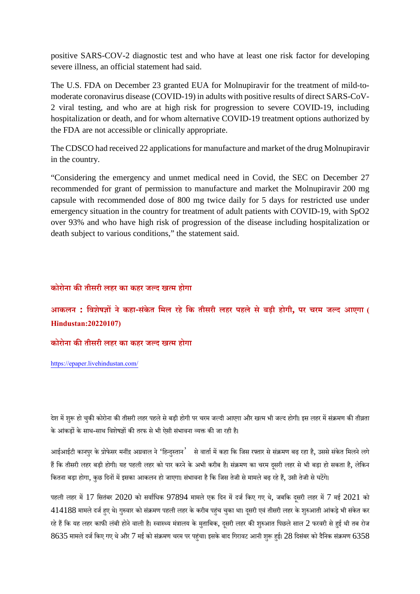positive SARS-COV-2 diagnostic test and who have at least one risk factor for developing severe illness, an official statement had said.

The U.S. FDA on December 23 granted EUA for Molnupiravir for the treatment of mild-tomoderate coronavirus disease (COVID-19) in adults with positive results of direct SARS-CoV-2 viral testing, and who are at high risk for progression to severe COVID-19, including hospitalization or death, and for whom alternative COVID-19 treatment options authorized by the FDA are not accessible or clinically appropriate.

The CDSCO had received 22 applications for manufacture and market of the drug Molnupiravir in the country.

"Considering the emergency and unmet medical need in Covid, the SEC on December 27 recommended for grant of permission to manufacture and market the Molnupiravir 200 mg capsule with recommended dose of 800 mg twice daily for 5 days for restricted use under emergency situation in the country for treatment of adult patients with COVID-19, with SpO2 over 93% and who have high risk of progression of the disease including hospitalization or death subject to various conditions," the statement said.

#### **कोरोना कतीसरी लहर का कहर जद खम होगा**

**आकलन : िवशेषनेकहा-सकं ेत िमल रहेिक तीसरी लहर पहलेसेबड़ी होगी, पर चरम जद आएगा ( Hindustan:20220107)**

#### **कोरोना कतीसरी लहर का कहर जद खम होगा**

https://epaper.livehindustan.com/

देश में शुरू हो चुकी कोरोना की तीसरी लहर पहले से बड़ी होगी पर चरम जल्दी आएगा और खत्म भी जल्द होगी। इस लहर में संक्रमण की तीव्रता के आंकड़ों के साथ-साथ विशेषज्ञों की तरफ से भी ऐसी संभावना व्यक्त की जा रही है।

आईआईटी कानपुर के प्रोफेसर मनींद्र अग्रवाल ने 'हिन्दुस्तान' से वार्ता में कहा कि जिस रफ्तार से संक्रमण बढ़ रहा है, उससे संकेत मिलने लगे हैं कि तीसरी लहर बड़ी होगी। यह पहली लहर को पार करने के अभी करीब है। संक्रमण का चरम दुसरी लहर से भी बड़ा हो सकता है, लेकिन कितना बड़ा होगा, कुछ दिनों में इसका आकलन हो जाएगा। संभावना है कि जिस तेजी से मामले बढ़ रहे हैं, उसी तेजी से घटेंगे।

पहली लहर में 17 सितंबर 2020 को सर्वाधिक 97894 मामले एक दिन में दर्ज किए गए थे, जबकि दसरी लहर में 7 मई 2021 को 414188 मामलेदजहए थे। गुवार को संमण पहली लहर केकरीब पहचं चकुा था। दसूरी एवं तीसरी लहर के शुआती आंकड़ेभी संकेत कर रहे हैं कि यह लहर काफी लंबी होने वाली है। स्वास्थ्य मंत्रालय के मताबिक, दसरी लहर की शुरुआत पिछले साल 2 फरवरी से हई थी तब रोज  $8635$  मामले दर्ज किए गए थे और  $7$  मई को संक्रमण चरम पर पहुंचा। इसके बाद गिरावट आनी शुरू हुई।  $28$  दिसंबर को दैनिक संक्रमण  $6358$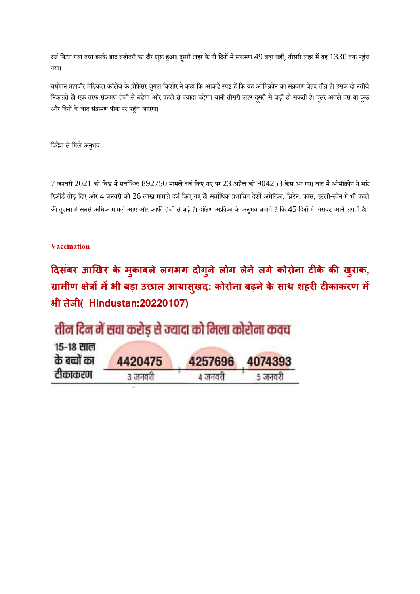दर्ज किया गया तथा इसके बाद बढ़ोतरी का दौर शुरू हुआ। दुसरी लहर के नौ दिनों में संक्रमण 49 बढ़ा वहीं, तीसरी लहर में यह 1330 तक पहुंच गया।

वर्धमान महावीर मेडिकल कॉलेज के प्रोफेसर जुगल किशोर ने कहा कि आंकड़े स्पष्ट हैं कि यह ओमिक्रोन का संक्रमण बेहद तीव्र है। इसके दो नतीजे निकलते हैं। एक तरफ संक्रमण तेजी से बढ़ेगा और पहले से ज्यादा बढ़ेगा। यानी तीसरी लहर दूसरी से बड़ी हो सकती है। दूसरे अगले दस या कुछ और िदनके बाद संमण पीक पर पहंच जाएगा।

विदेश से मिले अनुभव

 $7$  जनवरी  $2021$  को विश्व में सर्वाधिक  $892750$  मामले दर्ज किए गए पर  $23$  अप्रैल को  $904253$  केस आ गए। बाद में ओमीक्रोन ने सारे रिकॉर्ड तोड़ दिए और 4 जनवरी को 26 लाख मामले दर्ज किए गए हैं। सर्वाधिक प्रभावित देशों अमेरिका, ब्रिटेन, फ्रांस, इटली-स्पेन में भी पहले की तुलना में सबसे अधिक मामले आए और काफी तेजी से बढ़े हैं। दक्षिण अफ्रीका के अनुभव बताते हैं कि 45 दिनों में गिरावट आने लगती है।

#### **Vaccination**

**दसंबर आखर के मक ु ाबलेलगभग दोग ु नेलोग लेनेलगेकोरोना टके क ख ुराक, ामीण ेमभी बड़ा उछाल आयासख ु द: कोरोना बढ़नेके साथ शहरटकाकरण म भी तजे ी( Hindustan:20220107)**

| तीन दिन में सवा करोड़ से ज्यादा को मिला कोरोना कवच |  |
|----------------------------------------------------|--|
| 15-18 साल                                          |  |

| के बच्चों का | 4420475 | 4257696 | 4074393 |
|--------------|---------|---------|---------|
| टीकाकरण      | ३ जनवरी | ४ जनवरी | 5 जनवरी |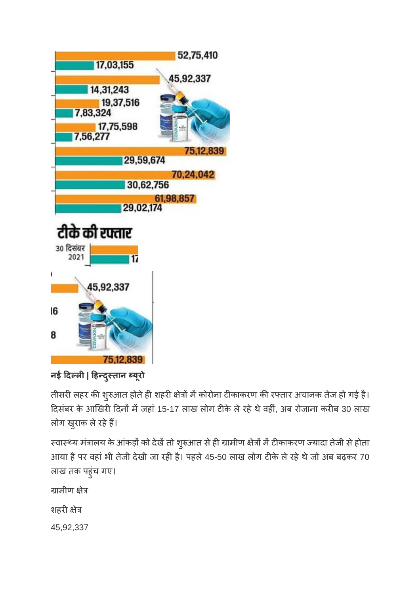

**नई दल| हदुतान यूरो**

तीसरी लहर की शुरुआत होते ही शहरी क्षेत्रों में कोरोना टीकाकरण की रफ्तार अचानक तेज हो गई है। दिसंबर के आखिरी दिनों में जहां 15-17 लाख लोग टीके ले रहे थे वहीं, अब रोजाना करीब 30 लाख लोग खुराक ले रहे हैं।

स्वास्थ्य मंत्रालय के आंकड़ों को देखें तो शुरुआत से ही ग्रामीण क्षेत्रों में टीकाकरण ज्यादा तेजी से होता आया है पर वहां भी तेजी देखी जा रही है। पहले 45-50 लाख लोग टीके ले रहे थे जो अब बढ़कर 70 लाख तक पहुंच गए।

ग्रामीण क्षेत्र

शहरी क्षेत्र

45,92,337